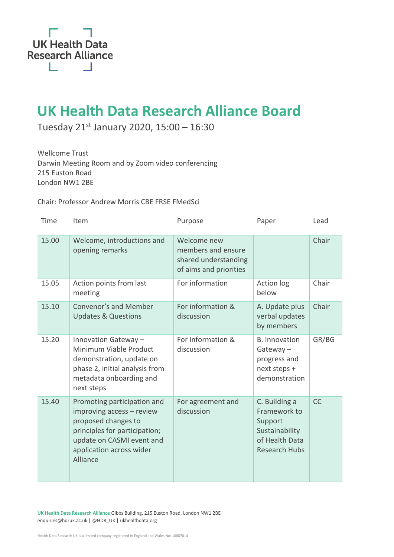

## **UK Health Data Research Alliance Board**

Tuesday 21<sup>st</sup> January 2020, 15:00 – 16:30

Wellcome Trust Darwin Meeting Room and by Zoom video conferencing 215 Euston Road London NW1 2BE

Chair: Professor Andrew Morris CBE FRSE FMedSci

| Time  | Item                                                                                                                                                                                  | Purpose                                                                             | Paper                                                                                                | Lead      |
|-------|---------------------------------------------------------------------------------------------------------------------------------------------------------------------------------------|-------------------------------------------------------------------------------------|------------------------------------------------------------------------------------------------------|-----------|
| 15.00 | Welcome, introductions and<br>opening remarks                                                                                                                                         | Welcome new<br>members and ensure<br>shared understanding<br>of aims and priorities |                                                                                                      |           |
| 15.05 | Action points from last<br>meeting                                                                                                                                                    | For information                                                                     | Action log<br>below                                                                                  | Chair     |
| 15.10 | <b>Convenor's and Member</b><br><b>Updates &amp; Questions</b>                                                                                                                        | For information &<br>discussion                                                     | A. Update plus<br>verbal updates<br>by members                                                       | Chair     |
| 15.20 | Innovation Gateway -<br>Minimum Viable Product<br>demonstration, update on<br>phase 2, initial analysis from<br>metadata onboarding and<br>next steps                                 | For information &<br>discussion                                                     | <b>B.</b> Innovation<br>$Gateway -$<br>progress and<br>next steps +<br>demonstration                 | GR/BG     |
| 15.40 | Promoting participation and<br>improving access - review<br>proposed changes to<br>principles for participation;<br>update on CASMI event and<br>application across wider<br>Alliance | For agreement and<br>discussion                                                     | C. Building a<br>Framework to<br>Support<br>Sustainability<br>of Health Data<br><b>Research Hubs</b> | <b>CC</b> |

**UK Health Data Research Alliance** Gibbs Building, 215 Euston Road, London NW1 2BE enquiries@hdruk.ac.uk | @HDR\_UK | ukhealthdata.org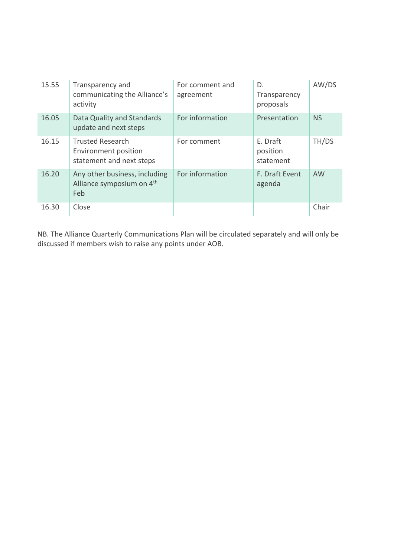| 15.55 | Transparency and<br>communicating the Alliance's<br>activity                       | For comment and<br>agreement | D.<br>Transparency<br>proposals   | AW/DS     |
|-------|------------------------------------------------------------------------------------|------------------------------|-----------------------------------|-----------|
| 16.05 | Data Quality and Standards<br>update and next steps                                | For information              | Presentation                      | <b>NS</b> |
| 16.15 | <b>Trusted Research</b><br><b>Environment position</b><br>statement and next steps | For comment                  | E. Draft<br>position<br>statement | TH/DS     |
| 16.20 | Any other business, including<br>Alliance symposium on 4 <sup>th</sup><br>Feb      | For information              | F. Draft Event<br>agenda          | <b>AW</b> |
| 16.30 | Close                                                                              |                              |                                   | Chair     |

NB. The Alliance Quarterly Communications Plan will be circulated separately and will only be discussed if members wish to raise any points under AOB.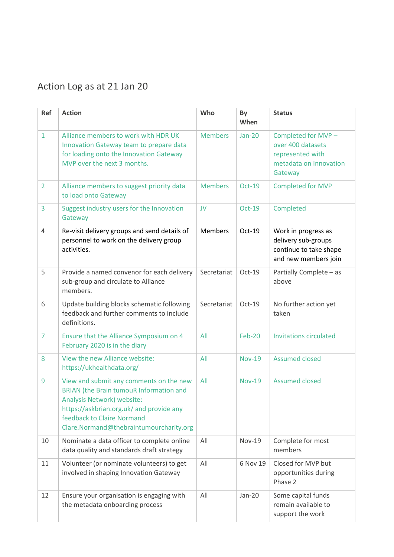## Action Log as at 21 Jan 20

| <b>Ref</b>     | <b>Action</b>                                                                                                                                                                                                                                | Who            | By<br>When    | <b>Status</b>                                                                                     |
|----------------|----------------------------------------------------------------------------------------------------------------------------------------------------------------------------------------------------------------------------------------------|----------------|---------------|---------------------------------------------------------------------------------------------------|
| $\mathbf{1}$   | Alliance members to work with HDR UK<br>Innovation Gateway team to prepare data<br>for loading onto the Innovation Gateway<br>MVP over the next 3 months.                                                                                    | <b>Members</b> | <b>Jan-20</b> | Completed for MVP -<br>over 400 datasets<br>represented with<br>metadata on Innovation<br>Gateway |
| $\overline{2}$ | Alliance members to suggest priority data<br>to load onto Gateway                                                                                                                                                                            | <b>Members</b> | <b>Oct-19</b> | <b>Completed for MVP</b>                                                                          |
| 3              | Suggest industry users for the Innovation<br>Gateway                                                                                                                                                                                         | <b>JV</b>      | Oct-19        | Completed                                                                                         |
| 4              | Re-visit delivery groups and send details of<br>personnel to work on the delivery group<br>activities.                                                                                                                                       | <b>Members</b> | Oct-19        | Work in progress as<br>delivery sub-groups<br>continue to take shape<br>and new members join      |
| 5              | Provide a named convenor for each delivery<br>sub-group and circulate to Alliance<br>members.                                                                                                                                                | Secretariat    | Oct-19        | Partially Complete - as<br>above                                                                  |
| 6              | Update building blocks schematic following<br>feedback and further comments to include<br>definitions.                                                                                                                                       | Secretariat    | Oct-19        | No further action yet<br>taken                                                                    |
| $\overline{7}$ | Ensure that the Alliance Symposium on 4<br>February 2020 is in the diary                                                                                                                                                                     | All            | <b>Feb-20</b> | <b>Invitations circulated</b>                                                                     |
| 8              | View the new Alliance website:<br>https://ukhealthdata.org/                                                                                                                                                                                  | All            | <b>Nov-19</b> | <b>Assumed closed</b>                                                                             |
| 9              | View and submit any comments on the new<br><b>BRIAN</b> (the Brain tumouR Information and<br>Analysis Network) website:<br>https://askbrian.org.uk/ and provide any<br>feedback to Claire Normand<br>Clare.Normand@thebraintumourcharity.org | All            | <b>Nov-19</b> | <b>Assumed closed</b>                                                                             |
| 10             | Nominate a data officer to complete online<br>data quality and standards draft strategy                                                                                                                                                      | All            | <b>Nov-19</b> | Complete for most<br>members                                                                      |
| 11             | Volunteer (or nominate volunteers) to get<br>involved in shaping Innovation Gateway                                                                                                                                                          | All            | 6 Nov 19      | Closed for MVP but<br>opportunities during<br>Phase 2                                             |
| 12             | Ensure your organisation is engaging with<br>the metadata onboarding process                                                                                                                                                                 | All            | $Jan-20$      | Some capital funds<br>remain available to<br>support the work                                     |